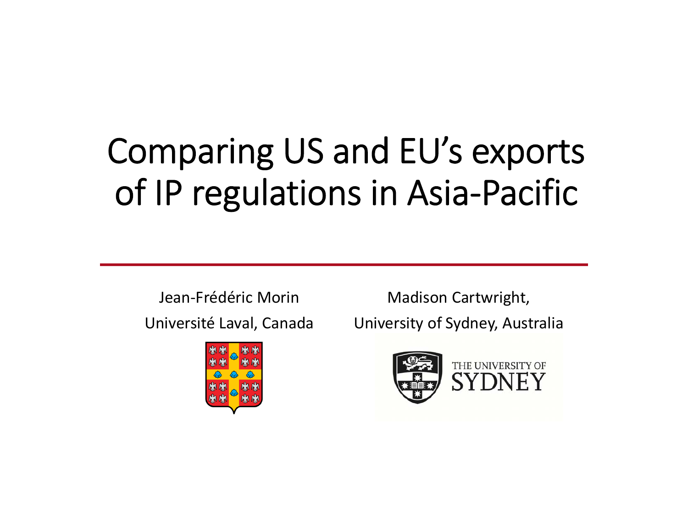# Comparing US and EU's exports of IP regulations in Asia‐Pacific

Jean-Frédéric Morin Madison Cartwright,



Université Laval, Canada University of Sydney, Australia

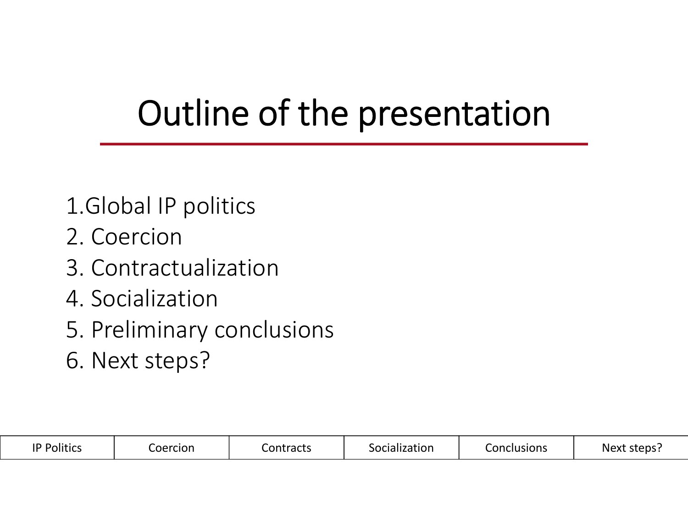# Outline of the presentation

- 1.Global IP politics
- 2. Coercion Coercion
- 3. Contractualization
- 4. Socialization
- 5. Preliminary conclusion Preliminary conclusions
- 6. Next steps? Next steps?

| ۱D<br>.<br>POlitics | oercion | $.$ ontroots<br>ontract_ | cialization | Conclusions | steps.<br><b>Nev</b> |
|---------------------|---------|--------------------------|-------------|-------------|----------------------|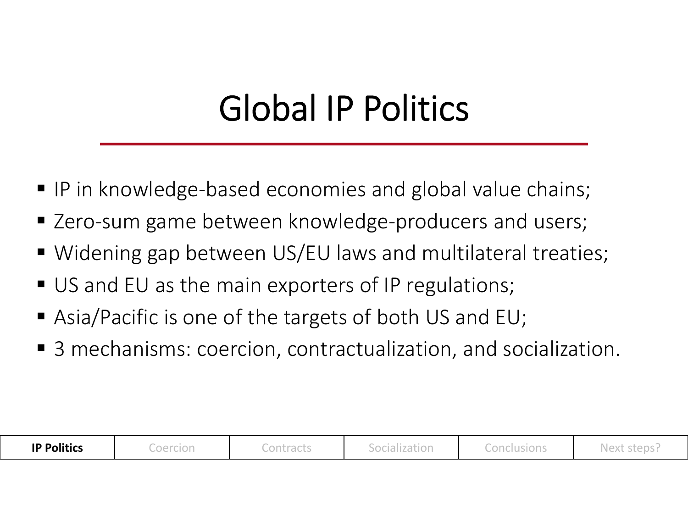# Global IP Politics

- IP in knowledge-based economies and global value chains;
- Zero-sum game between knowledge-producers and users;
- Widening gap between US/EU laws and multilateral treaties;
- **US and EU as the main exporters of IP regulations;**
- Asia/Pacific is one of the targets of both US and EU;
- 3 mechanisms: coercion, contractualization, and socialization.

| <b>IP Politics</b> | Coercion | Contracts | Socialization | Conclusions | Next steps. |
|--------------------|----------|-----------|---------------|-------------|-------------|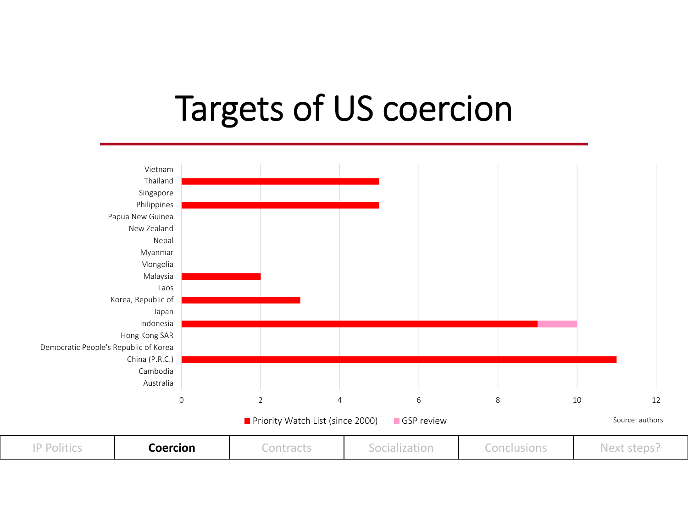#### Targets of US coercion

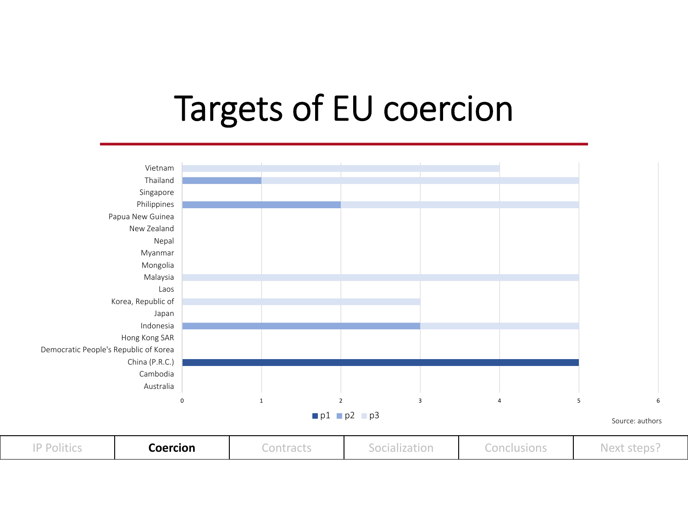#### Targets of EU coercion

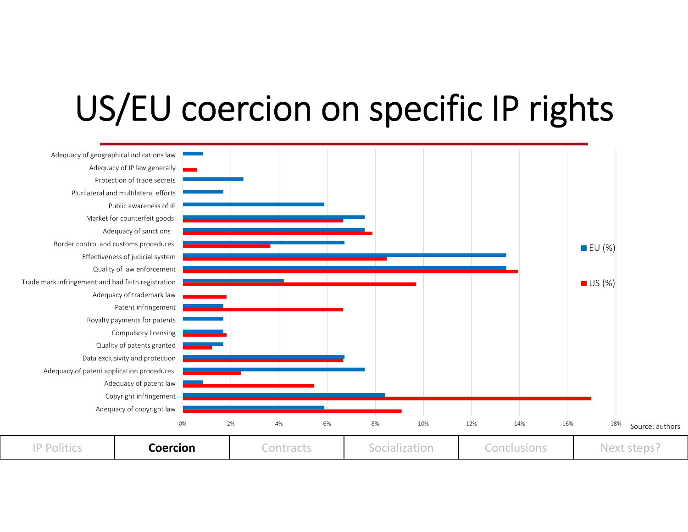## US/EU coercion on specific IP rights

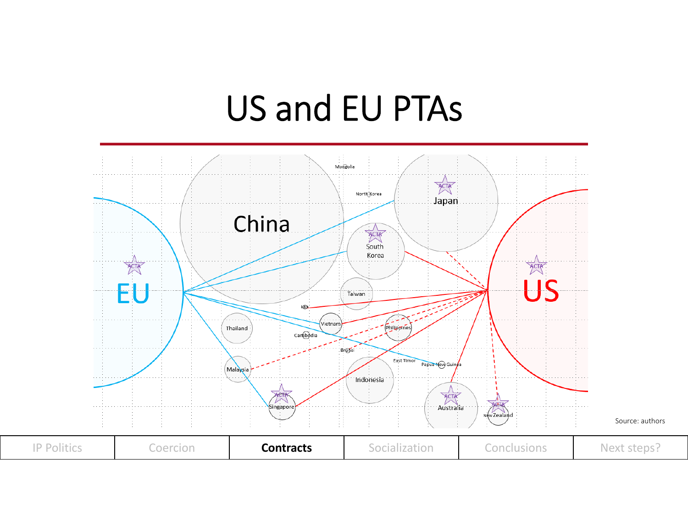#### US and EU PTAs

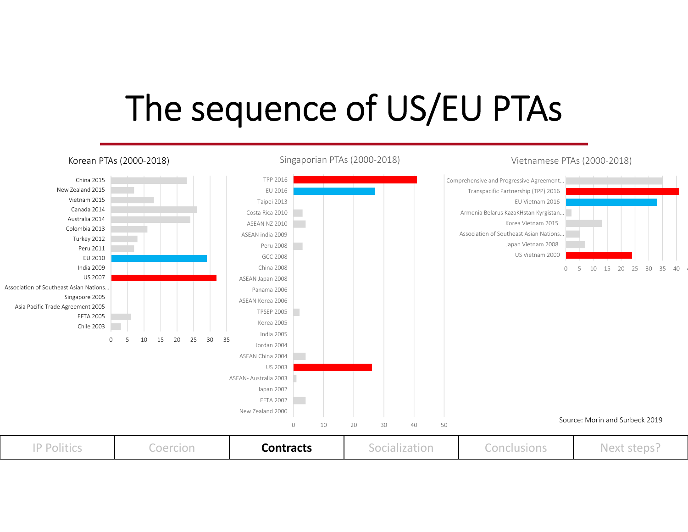## The sequence of US/EU PTAs

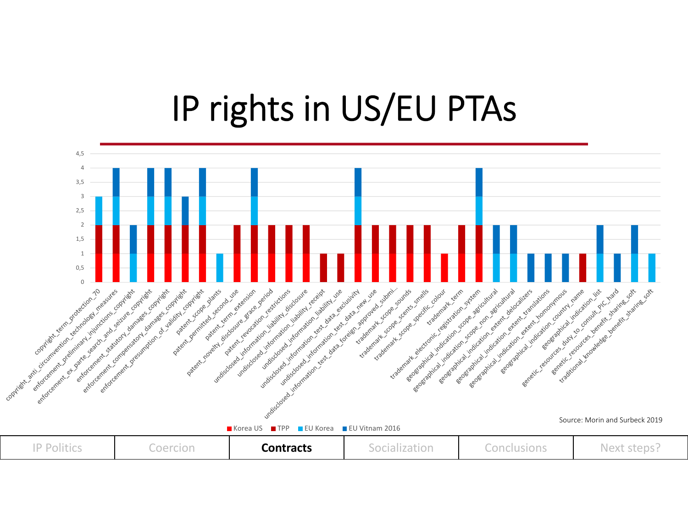### IP rights in US/EU PTAs

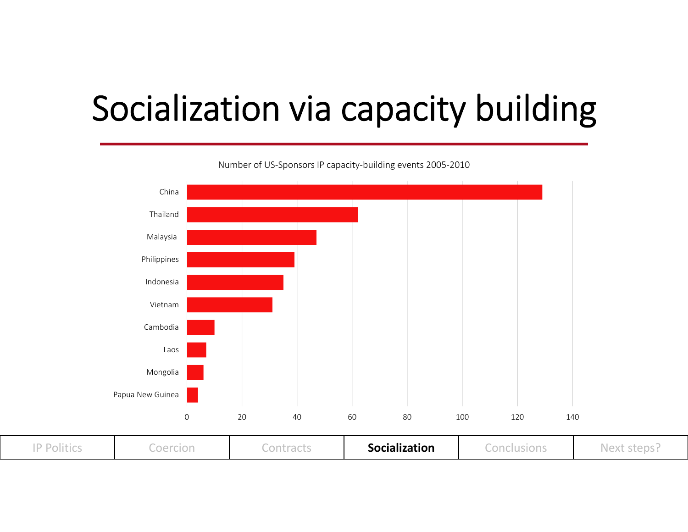# Socialization via capacity building



Number of US‐Sponsors IP capacity‐building events 2005‐2010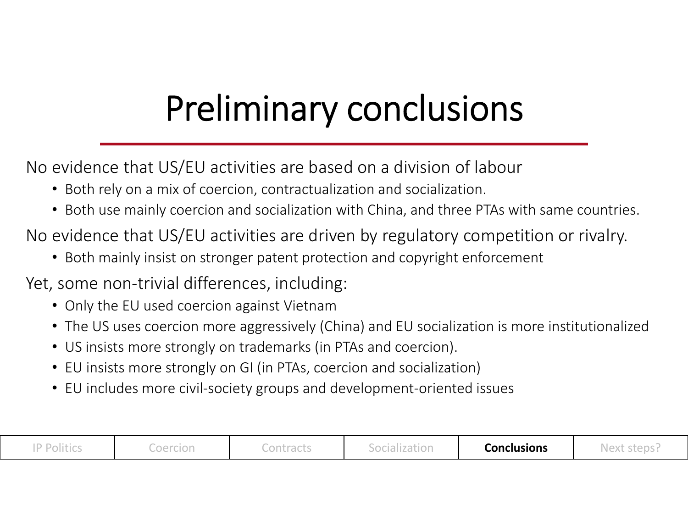# Preliminary conclusions

No evidence that US/EU activities are based on a division of labour

- Both rely on a mix of coercion, contractualization and socialization.
- Both use mainly coercion and socialization with China, and three PTAs with same countries.

No evidence that US/EU activities are driven by regulatory competition or rivalry.

- Both mainly insist on stronger patent protection and copyright enforcement
- Yet, some non-trivial differences, including:
	- Only the EU used coercion against Vietnam
	- The US uses coercion more aggressively (China) and EU socialization is more institutionalized
	- US insists more strongly on trademarks (in PTAs and coercion).
	- EU insists more strongly on GI (in PTAs, coercion and socialization)
	- EU includes more civil‐society groups and development‐oriented issues

| Dalitias<br>------- | $\sim$ $\sim$ $\sim$ $\sim$ $\sim$<br>------- | - 1<br>--------- | ™⊍≀∪ ⊵ | Conclusions | ctany<br>$NQY^+$ |
|---------------------|-----------------------------------------------|------------------|--------|-------------|------------------|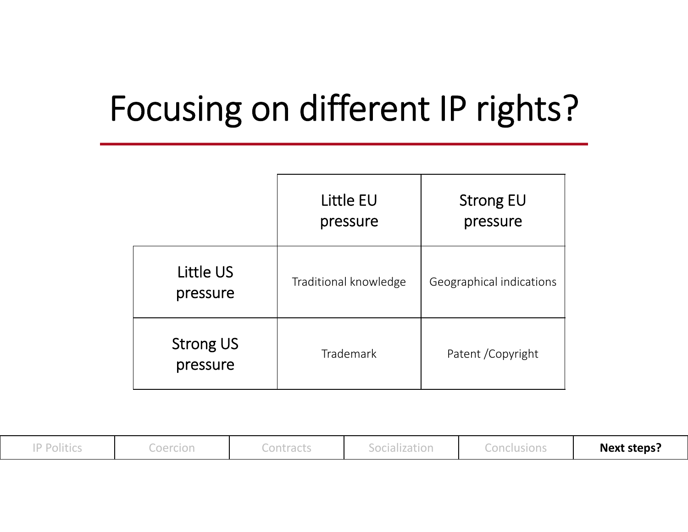## Focusing on different IP rights?

|                              | Little EU<br>pressure | <b>Strong EU</b><br>pressure |
|------------------------------|-----------------------|------------------------------|
| Little US<br>pressure        | Traditional knowledge | Geographical indications     |
| <b>Strong US</b><br>pressure | Trademark             | Patent / Copyright           |

| <b>Politics</b><br><b>UILLUJ</b> | Coercion | Contracts | ocialization<br>1 U I I 4 U L I V I I | Conclusions | <b>Next steps?</b> |
|----------------------------------|----------|-----------|---------------------------------------|-------------|--------------------|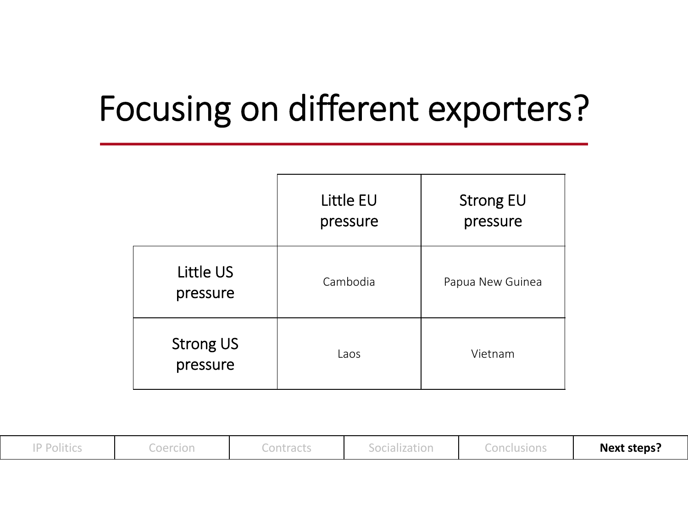## Focusing on different exporters?

|                              | <b>Little EU</b><br>pressure | <b>Strong EU</b><br>pressure |
|------------------------------|------------------------------|------------------------------|
| <b>Little US</b><br>pressure | Cambodia                     | Papua New Guinea             |
| <b>Strong US</b><br>pressure | Laos                         | Vietnam                      |

| Politics <sup>בי</sup> | Coercion | Contracts | socialization.<br><u>JUURILLUUVII</u> | Conclusions | <b>Next steps?</b> |
|------------------------|----------|-----------|---------------------------------------|-------------|--------------------|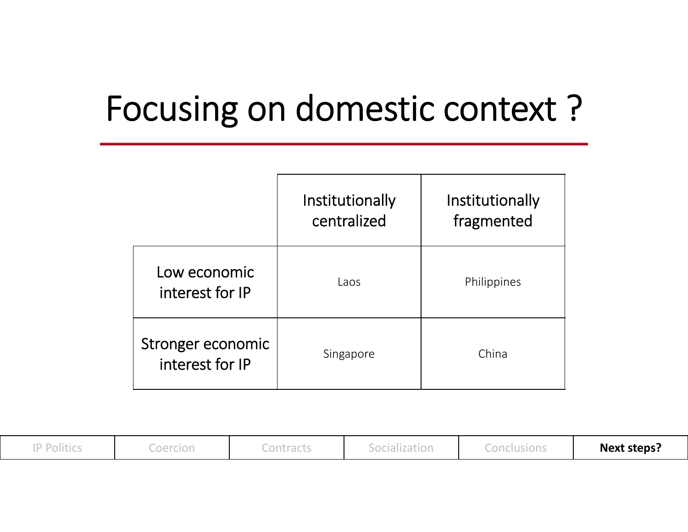## Focusing on domestic context ?

|                                      | Institutionally<br>centralized | Institutionally<br>fragmented |
|--------------------------------------|--------------------------------|-------------------------------|
| Low economic<br>interest for IP      | Laos                           | Philippines                   |
| Stronger economic<br>interest for IP | Singapore                      | China                         |

| Politics <sup>י</sup> | Coercion | Contracts | Socialization | Conclusions | <b>Next steps?</b> |
|-----------------------|----------|-----------|---------------|-------------|--------------------|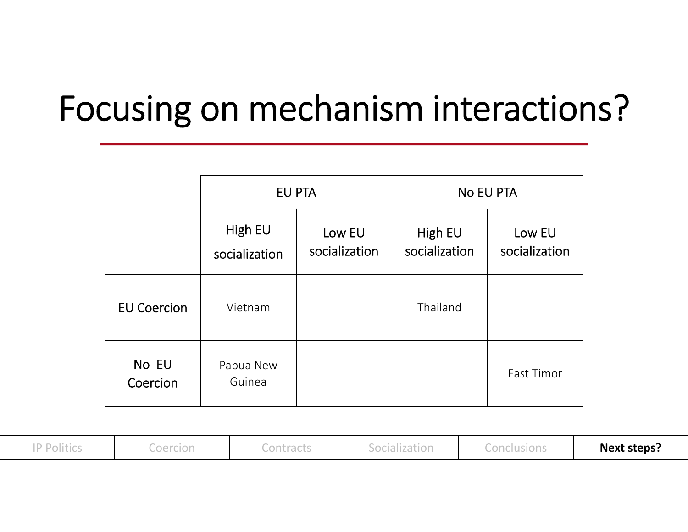## Focusing on mechanism interactions?

|                    | EU PTA                   |                         | <b>No EU PTA</b>         |                         |  |
|--------------------|--------------------------|-------------------------|--------------------------|-------------------------|--|
|                    | High EU<br>socialization | Low EU<br>socialization | High EU<br>socialization | Low EU<br>socialization |  |
| <b>EU Coercion</b> | Vietnam                  |                         | Thailand                 |                         |  |
| No EU<br>Coercion  | Papua New<br>Guinea      |                         |                          | East Timor              |  |

| Politics | Coercion | <u>inntracts</u><br>uuri uutu | Socialization | Conclusions | <b>Next steps?</b> |
|----------|----------|-------------------------------|---------------|-------------|--------------------|
|          |          |                               |               |             |                    |